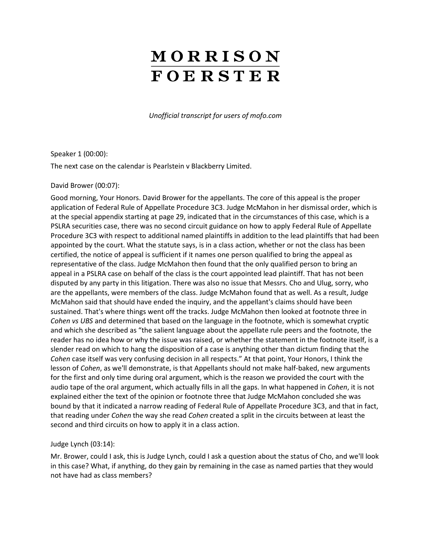# MORRISON **FOERSTER**

*Unofficial transcript for users of mofo.com*

Speaker 1 (00:00):

The next case on the calendar is Pearlstein v Blackberry Limited.

#### David Brower (00:07):

Good morning, Your Honors. David Brower for the appellants. The core of this appeal is the proper application of Federal Rule of Appellate Procedure 3C3. Judge McMahon in her dismissal order, which is at the special appendix starting at page 29, indicated that in the circumstances of this case, which is a PSLRA securities case, there was no second circuit guidance on how to apply Federal Rule of Appellate Procedure 3C3 with respect to additional named plaintiffs in addition to the lead plaintiffs that had been appointed by the court. What the statute says, is in a class action, whether or not the class has been certified, the notice of appeal is sufficient if it names one person qualified to bring the appeal as representative of the class. Judge McMahon then found that the only qualified person to bring an appeal in a PSLRA case on behalf of the class is the court appointed lead plaintiff. That has not been disputed by any party in this litigation. There was also no issue that Messrs. Cho and Ulug, sorry, who are the appellants, were members of the class. Judge McMahon found that as well. As a result, Judge McMahon said that should have ended the inquiry, and the appellant's claims should have been sustained. That's where things went off the tracks. Judge McMahon then looked at footnote three in *Cohen vs UBS* and determined that based on the language in the footnote, which is somewhat cryptic and which she described as "the salient language about the appellate rule peers and the footnote, the reader has no idea how or why the issue was raised, or whether the statement in the footnote itself, is a slender read on which to hang the disposition of a case is anything other than dictum finding that the *Cohen* case itself was very confusing decision in all respects." At that point, Your Honors, I think the lesson of *Cohen*, as we'll demonstrate, is that Appellants should not make half-baked, new arguments for the first and only time during oral argument, which is the reason we provided the court with the audio tape of the oral argument, which actually fills in all the gaps. In what happened in *Cohen*, it is not explained either the text of the opinion or footnote three that Judge McMahon concluded she was bound by that it indicated a narrow reading of Federal Rule of Appellate Procedure 3C3, and that in fact, that reading under *Cohen* the way she read *Cohen* created a split in the circuits between at least the second and third circuits on how to apply it in a class action.

#### Judge Lynch (03:14):

Mr. Brower, could I ask, this is Judge Lynch, could I ask a question about the status of Cho, and we'll look in this case? What, if anything, do they gain by remaining in the case as named parties that they would not have had as class members?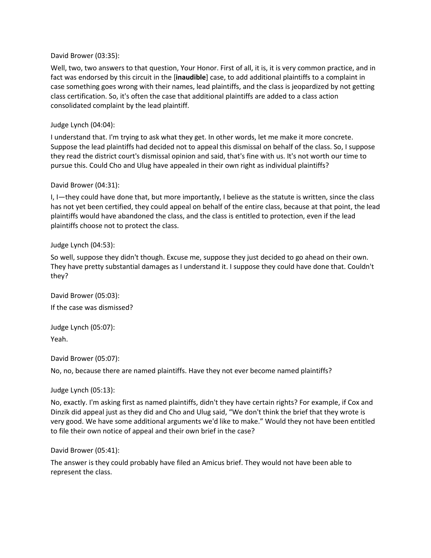#### David Brower (03:35):

Well, two, two answers to that question, Your Honor. First of all, it is, it is very common practice, and in fact was endorsed by this circuit in the [**inaudible**] case, to add additional plaintiffs to a complaint in case something goes wrong with their names, lead plaintiffs, and the class is jeopardized by not getting class certification. So, it's often the case that additional plaintiffs are added to a class action consolidated complaint by the lead plaintiff.

## Judge Lynch (04:04):

I understand that. I'm trying to ask what they get. In other words, let me make it more concrete. Suppose the lead plaintiffs had decided not to appeal this dismissal on behalf of the class. So, I suppose they read the district court's dismissal opinion and said, that's fine with us. It's not worth our time to pursue this. Could Cho and Ulug have appealed in their own right as individual plaintiffs?

## David Brower (04:31):

I, I—they could have done that, but more importantly, I believe as the statute is written, since the class has not yet been certified, they could appeal on behalf of the entire class, because at that point, the lead plaintiffs would have abandoned the class, and the class is entitled to protection, even if the lead plaintiffs choose not to protect the class.

## Judge Lynch (04:53):

So well, suppose they didn't though. Excuse me, suppose they just decided to go ahead on their own. They have pretty substantial damages as I understand it. I suppose they could have done that. Couldn't they?

David Brower (05:03): If the case was dismissed?

Judge Lynch (05:07): Yeah.

David Brower (05:07):

No, no, because there are named plaintiffs. Have they not ever become named plaintiffs?

## Judge Lynch (05:13):

No, exactly. I'm asking first as named plaintiffs, didn't they have certain rights? For example, if Cox and Dinzik did appeal just as they did and Cho and Ulug said, "We don't think the brief that they wrote is very good. We have some additional arguments we'd like to make." Would they not have been entitled to file their own notice of appeal and their own brief in the case?

## David Brower (05:41):

The answer is they could probably have filed an Amicus brief. They would not have been able to represent the class.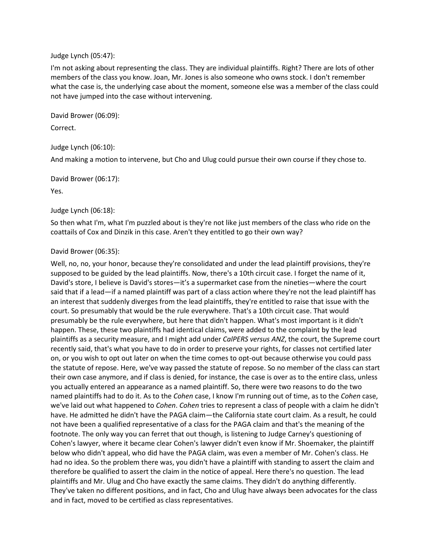#### Judge Lynch (05:47):

I'm not asking about representing the class. They are individual plaintiffs. Right? There are lots of other members of the class you know. Joan, Mr. Jones is also someone who owns stock. I don't remember what the case is, the underlying case about the moment, someone else was a member of the class could not have jumped into the case without intervening.

David Brower (06:09):

Correct.

#### Judge Lynch (06:10):

And making a motion to intervene, but Cho and Ulug could pursue their own course if they chose to.

David Brower (06:17):

Yes.

#### Judge Lynch (06:18):

So then what I'm, what I'm puzzled about is they're not like just members of the class who ride on the coattails of Cox and Dinzik in this case. Aren't they entitled to go their own way?

#### David Brower (06:35):

Well, no, no, your honor, because they're consolidated and under the lead plaintiff provisions, they're supposed to be guided by the lead plaintiffs. Now, there's a 10th circuit case. I forget the name of it, David's store, I believe is David's stores—it's a supermarket case from the nineties—where the court said that if a lead—if a named plaintiff was part of a class action where they're not the lead plaintiff has an interest that suddenly diverges from the lead plaintiffs, they're entitled to raise that issue with the court. So presumably that would be the rule everywhere. That's a 10th circuit case. That would presumably be the rule everywhere, but here that didn't happen. What's most important is it didn't happen. These, these two plaintiffs had identical claims, were added to the complaint by the lead plaintiffs as a security measure, and I might add under *CalPERS versus ANZ*, the court, the Supreme court recently said, that's what you have to do in order to preserve your rights, for classes not certified later on, or you wish to opt out later on when the time comes to opt-out because otherwise you could pass the statute of repose. Here, we've way passed the statute of repose. So no member of the class can start their own case anymore, and if class is denied, for instance, the case is over as to the entire class, unless you actually entered an appearance as a named plaintiff. So, there were two reasons to do the two named plaintiffs had to do it. As to the *Cohen* case, I know I'm running out of time, as to the *Cohen* case, we've laid out what happened to *Cohen*. *Cohen* tries to represent a class of people with a claim he didn't have. He admitted he didn't have the PAGA claim—the California state court claim. As a result, he could not have been a qualified representative of a class for the PAGA claim and that's the meaning of the footnote. The only way you can ferret that out though, is listening to Judge Carney's questioning of Cohen's lawyer, where it became clear Cohen's lawyer didn't even know if Mr. Shoemaker, the plaintiff below who didn't appeal, who did have the PAGA claim, was even a member of Mr. Cohen's class. He had no idea. So the problem there was, you didn't have a plaintiff with standing to assert the claim and therefore be qualified to assert the claim in the notice of appeal. Here there's no question. The lead plaintiffs and Mr. Ulug and Cho have exactly the same claims. They didn't do anything differently. They've taken no different positions, and in fact, Cho and Ulug have always been advocates for the class and in fact, moved to be certified as class representatives.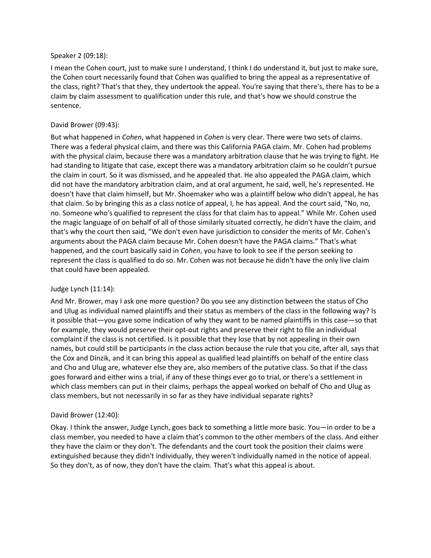#### Speaker 2 (09:18):

I mean the Cohen court, just to make sure I understand, I think I do understand it, but just to make sure, the Cohen court necessarily found that Cohen was qualified to bring the appeal as a representative of the class, right? That's that they, they undertook the appeal. You're saying that there's, there has to be a claim by claim assessment to qualification under this rule, and that's how we should construe the sentence.

## David Brower (09:43):

But what happened in *Cohen*, what happened in *Cohen* is very clear. There were two sets of claims. There was a federal physical claim, and there was this California PAGA claim. Mr. Cohen had problems with the physical claim, because there was a mandatory arbitration clause that he was trying to fight. He had standing to litigate that case, except there was a mandatory arbitration claim so he couldn't pursue the claim in court. So it was dismissed, and he appealed that. He also appealed the PAGA claim, which did not have the mandatory arbitration claim, and at oral argument, he said, well, he's represented. He doesn't have that claim himself, but Mr. Shoemaker who was a plaintiff below who didn't appeal, he has that claim. So by bringing this as a class notice of appeal, I, he has appeal. And the court said, "No, no, no. Someone who's qualified to represent the class for that claim has to appeal." While Mr. Cohen used the magic language of on behalf of all of those similarly situated correctly, he didn't have the claim, and that's why the court then said, "We don't even have jurisdiction to consider the merits of Mr. Cohen's arguments about the PAGA claim because Mr. Cohen doesn't have the PAGA claims." That's what happened, and the court basically said in *Cohen*, you have to look to see if the person seeking to represent the class is qualified to do so. Mr. Cohen was not because he didn't have the only live claim that could have been appealed.

## Judge Lynch (11:14):

And Mr. Brower, may I ask one more question? Do you see any distinction between the status of Cho and Ulug as individual named plaintiffs and their status as members of the class in the following way? Is it possible that—you gave some indication of why they want to be named plaintiffs in this case—so that for example, they would preserve their opt-out rights and preserve their right to file an individual complaint if the class is not certified. Is it possible that they lose that by not appealing in their own names, but could still be participants in the class action because the rule that you cite, after all, says that the Cox and Dinzik, and it can bring this appeal as qualified lead plaintiffs on behalf of the entire class and Cho and Ulug are, whatever else they are, also members of the putative class. So that if the class goes forward and either wins a trial, if any of these things ever go to trial, or there's a settlement in which class members can put in their claims, perhaps the appeal worked on behalf of Cho and Ulug as class members, but not necessarily in so far as they have individual separate rights?

## David Brower (12:40):

Okay. I think the answer, Judge Lynch, goes back to something a little more basic. You—in order to be a class member, you needed to have a claim that's common to the other members of the class. And either they have the claim or they don't. The defendants and the court took the position their claims were extinguished because they didn't individually, they weren't individually named in the notice of appeal. So they don't, as of now, they don't have the claim. That's what this appeal is about.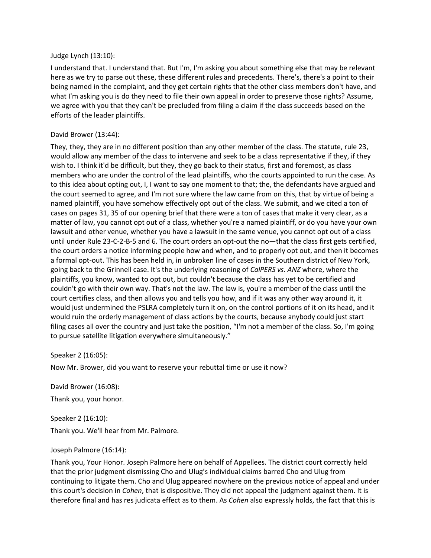#### Judge Lynch (13:10):

I understand that. I understand that. But I'm, I'm asking you about something else that may be relevant here as we try to parse out these, these different rules and precedents. There's, there's a point to their being named in the complaint, and they get certain rights that the other class members don't have, and what I'm asking you is do they need to file their own appeal in order to preserve those rights? Assume, we agree with you that they can't be precluded from filing a claim if the class succeeds based on the efforts of the leader plaintiffs.

#### David Brower (13:44):

They, they, they are in no different position than any other member of the class. The statute, rule 23, would allow any member of the class to intervene and seek to be a class representative if they, if they wish to. I think it'd be difficult, but they, they go back to their status, first and foremost, as class members who are under the control of the lead plaintiffs, who the courts appointed to run the case. As to this idea about opting out, I, I want to say one moment to that; the, the defendants have argued and the court seemed to agree, and I'm not sure where the law came from on this, that by virtue of being a named plaintiff, you have somehow effectively opt out of the class. We submit, and we cited a ton of cases on pages 31, 35 of our opening brief that there were a ton of cases that make it very clear, as a matter of law, you cannot opt out of a class, whether you're a named plaintiff, or do you have your own lawsuit and other venue, whether you have a lawsuit in the same venue, you cannot opt out of a class until under Rule 23-C-2-B-5 and 6. The court orders an opt-out the no—that the class first gets certified, the court orders a notice informing people how and when, and to properly opt out, and then it becomes a formal opt-out. This has been held in, in unbroken line of cases in the Southern district of New York, going back to the Grinnell case. It's the underlying reasoning of *CalPERS vs. ANZ* where, where the plaintiffs, you know, wanted to opt out, but couldn't because the class has yet to be certified and couldn't go with their own way. That's not the law. The law is, you're a member of the class until the court certifies class, and then allows you and tells you how, and if it was any other way around it, it would just undermined the PSLRA completely turn it on, on the control portions of it on its head, and it would ruin the orderly management of class actions by the courts, because anybody could just start filing cases all over the country and just take the position, "I'm not a member of the class. So, I'm going to pursue satellite litigation everywhere simultaneously."

#### Speaker 2 (16:05):

Now Mr. Brower, did you want to reserve your rebuttal time or use it now?

David Brower (16:08): Thank you, your honor.

Speaker 2 (16:10):

Thank you. We'll hear from Mr. Palmore.

#### Joseph Palmore (16:14):

Thank you, Your Honor. Joseph Palmore here on behalf of Appellees. The district court correctly held that the prior judgment dismissing Cho and Ulug's individual claims barred Cho and Ulug from continuing to litigate them. Cho and Ulug appeared nowhere on the previous notice of appeal and under this court's decision in *Cohen*, that is dispositive. They did not appeal the judgment against them. It is therefore final and has res judicata effect as to them. As *Cohen* also expressly holds, the fact that this is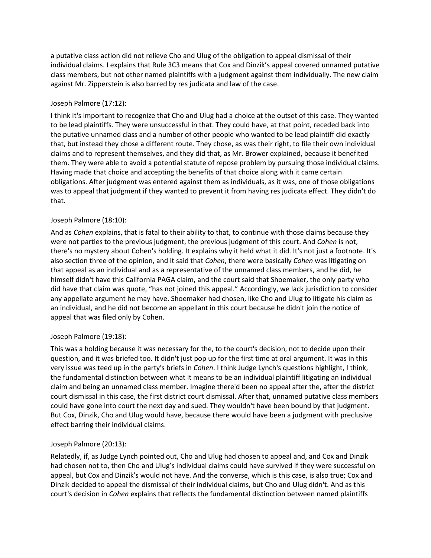a putative class action did not relieve Cho and Ulug of the obligation to appeal dismissal of their individual claims. I explains that Rule 3C3 means that Cox and Dinzik's appeal covered unnamed putative class members, but not other named plaintiffs with a judgment against them individually. The new claim against Mr. Zipperstein is also barred by res judicata and law of the case.

# Joseph Palmore (17:12):

I think it's important to recognize that Cho and Ulug had a choice at the outset of this case. They wanted to be lead plaintiffs. They were unsuccessful in that. They could have, at that point, receded back into the putative unnamed class and a number of other people who wanted to be lead plaintiff did exactly that, but instead they chose a different route. They chose, as was their right, to file their own individual claims and to represent themselves, and they did that, as Mr. Brower explained, because it benefited them. They were able to avoid a potential statute of repose problem by pursuing those individual claims. Having made that choice and accepting the benefits of that choice along with it came certain obligations. After judgment was entered against them as individuals, as it was, one of those obligations was to appeal that judgment if they wanted to prevent it from having res judicata effect. They didn't do that.

# Joseph Palmore (18:10):

And as *Cohen* explains, that is fatal to their ability to that, to continue with those claims because they were not parties to the previous judgment, the previous judgment of this court. And *Cohen* is not, there's no mystery about Cohen's holding. It explains why it held what it did. It's not just a footnote. It's also section three of the opinion, and it said that *Cohen*, there were basically *Cohen* was litigating on that appeal as an individual and as a representative of the unnamed class members, and he did, he himself didn't have this California PAGA claim, and the court said that Shoemaker, the only party who did have that claim was quote, "has not joined this appeal." Accordingly, we lack jurisdiction to consider any appellate argument he may have. Shoemaker had chosen, like Cho and Ulug to litigate his claim as an individual, and he did not become an appellant in this court because he didn't join the notice of appeal that was filed only by Cohen.

## Joseph Palmore (19:18):

This was a holding because it was necessary for the, to the court's decision, not to decide upon their question, and it was briefed too. It didn't just pop up for the first time at oral argument. It was in this very issue was teed up in the party's briefs in *Cohen*. I think Judge Lynch's questions highlight, I think, the fundamental distinction between what it means to be an individual plaintiff litigating an individual claim and being an unnamed class member. Imagine there'd been no appeal after the, after the district court dismissal in this case, the first district court dismissal. After that, unnamed putative class members could have gone into court the next day and sued. They wouldn't have been bound by that judgment. But Cox, Dinzik, Cho and Ulug would have, because there would have been a judgment with preclusive effect barring their individual claims.

## Joseph Palmore (20:13):

Relatedly, if, as Judge Lynch pointed out, Cho and Ulug had chosen to appeal and, and Cox and Dinzik had chosen not to, then Cho and Ulug's individual claims could have survived if they were successful on appeal, but Cox and Dinzik's would not have. And the converse, which is this case, is also true; Cox and Dinzik decided to appeal the dismissal of their individual claims, but Cho and Ulug didn't. And as this court's decision in *Cohen* explains that reflects the fundamental distinction between named plaintiffs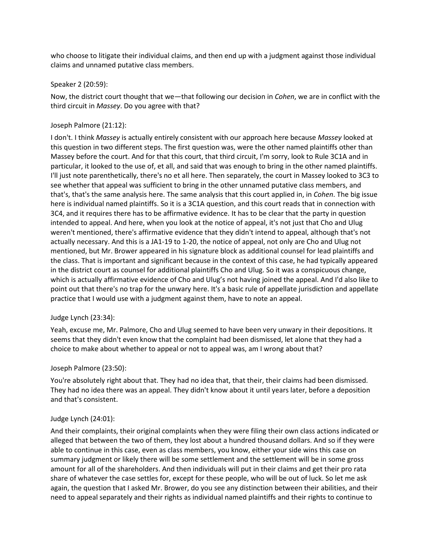who choose to litigate their individual claims, and then end up with a judgment against those individual claims and unnamed putative class members.

#### Speaker 2 (20:59):

Now, the district court thought that we—that following our decision in *Cohen*, we are in conflict with the third circuit in *Massey*. Do you agree with that?

## Joseph Palmore (21:12):

I don't. I think *Massey* is actually entirely consistent with our approach here because *Massey* looked at this question in two different steps. The first question was, were the other named plaintiffs other than Massey before the court. And for that this court, that third circuit, I'm sorry, look to Rule 3C1A and in particular, it looked to the use of, et all, and said that was enough to bring in the other named plaintiffs. I'll just note parenthetically, there's no et all here. Then separately, the court in Massey looked to 3C3 to see whether that appeal was sufficient to bring in the other unnamed putative class members, and that's, that's the same analysis here. The same analysis that this court applied in, in *Cohen*. The big issue here is individual named plaintiffs. So it is a 3C1A question, and this court reads that in connection with 3C4, and it requires there has to be affirmative evidence. It has to be clear that the party in question intended to appeal. And here, when you look at the notice of appeal, it's not just that Cho and Ulug weren't mentioned, there's affirmative evidence that they didn't intend to appeal, although that's not actually necessary. And this is a JA1-19 to 1-20, the notice of appeal, not only are Cho and Ulug not mentioned, but Mr. Brower appeared in his signature block as additional counsel for lead plaintiffs and the class. That is important and significant because in the context of this case, he had typically appeared in the district court as counsel for additional plaintiffs Cho and Ulug. So it was a conspicuous change, which is actually affirmative evidence of Cho and Ulug's not having joined the appeal. And I'd also like to point out that there's no trap for the unwary here. It's a basic rule of appellate jurisdiction and appellate practice that I would use with a judgment against them, have to note an appeal.

## Judge Lynch (23:34):

Yeah, excuse me, Mr. Palmore, Cho and Ulug seemed to have been very unwary in their depositions. It seems that they didn't even know that the complaint had been dismissed, let alone that they had a choice to make about whether to appeal or not to appeal was, am I wrong about that?

## Joseph Palmore (23:50):

You're absolutely right about that. They had no idea that, that their, their claims had been dismissed. They had no idea there was an appeal. They didn't know about it until years later, before a deposition and that's consistent.

## Judge Lynch (24:01):

And their complaints, their original complaints when they were filing their own class actions indicated or alleged that between the two of them, they lost about a hundred thousand dollars. And so if they were able to continue in this case, even as class members, you know, either your side wins this case on summary judgment or likely there will be some settlement and the settlement will be in some gross amount for all of the shareholders. And then individuals will put in their claims and get their pro rata share of whatever the case settles for, except for these people, who will be out of luck. So let me ask again, the question that I asked Mr. Brower, do you see any distinction between their abilities, and their need to appeal separately and their rights as individual named plaintiffs and their rights to continue to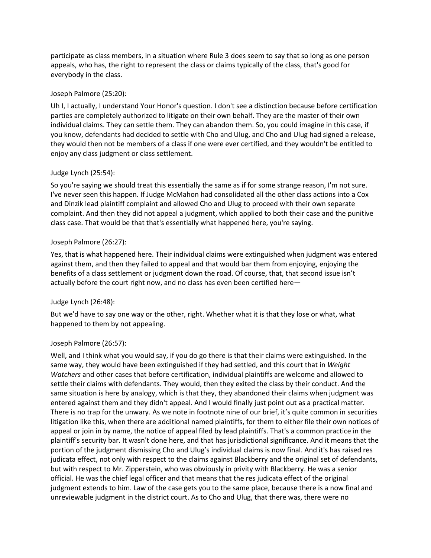participate as class members, in a situation where Rule 3 does seem to say that so long as one person appeals, who has, the right to represent the class or claims typically of the class, that's good for everybody in the class.

## Joseph Palmore (25:20):

Uh I, I actually, I understand Your Honor's question. I don't see a distinction because before certification parties are completely authorized to litigate on their own behalf. They are the master of their own individual claims. They can settle them. They can abandon them. So, you could imagine in this case, if you know, defendants had decided to settle with Cho and Ulug, and Cho and Ulug had signed a release, they would then not be members of a class if one were ever certified, and they wouldn't be entitled to enjoy any class judgment or class settlement.

# Judge Lynch (25:54):

So you're saying we should treat this essentially the same as if for some strange reason, I'm not sure. I've never seen this happen. If Judge McMahon had consolidated all the other class actions into a Cox and Dinzik lead plaintiff complaint and allowed Cho and Ulug to proceed with their own separate complaint. And then they did not appeal a judgment, which applied to both their case and the punitive class case. That would be that that's essentially what happened here, you're saying.

# Joseph Palmore (26:27):

Yes, that is what happened here. Their individual claims were extinguished when judgment was entered against them, and then they failed to appeal and that would bar them from enjoying, enjoying the benefits of a class settlement or judgment down the road. Of course, that, that second issue isn't actually before the court right now, and no class has even been certified here—

## Judge Lynch (26:48):

But we'd have to say one way or the other, right. Whether what it is that they lose or what, what happened to them by not appealing.

## Joseph Palmore (26:57):

Well, and I think what you would say, if you do go there is that their claims were extinguished. In the same way, they would have been extinguished if they had settled, and this court that in *Weight Watchers* and other cases that before certification, individual plaintiffs are welcome and allowed to settle their claims with defendants. They would, then they exited the class by their conduct. And the same situation is here by analogy, which is that they, they abandoned their claims when judgment was entered against them and they didn't appeal. And I would finally just point out as a practical matter. There is no trap for the unwary. As we note in footnote nine of our brief, it's quite common in securities litigation like this, when there are additional named plaintiffs, for them to either file their own notices of appeal or join in by name, the notice of appeal filed by lead plaintiffs. That's a common practice in the plaintiff's security bar. It wasn't done here, and that has jurisdictional significance. And it means that the portion of the judgment dismissing Cho and Ulug's individual claims is now final. And it's has raised res judicata effect, not only with respect to the claims against Blackberry and the original set of defendants, but with respect to Mr. Zipperstein, who was obviously in privity with Blackberry. He was a senior official. He was the chief legal officer and that means that the res judicata effect of the original judgment extends to him. Law of the case gets you to the same place, because there is a now final and unreviewable judgment in the district court. As to Cho and Ulug, that there was, there were no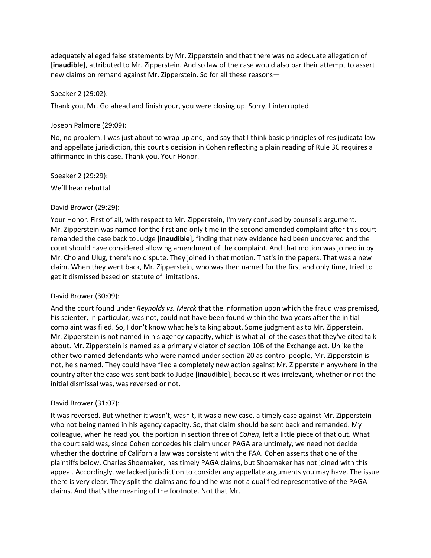adequately alleged false statements by Mr. Zipperstein and that there was no adequate allegation of [**inaudible**], attributed to Mr. Zipperstein. And so law of the case would also bar their attempt to assert new claims on remand against Mr. Zipperstein. So for all these reasons—

#### Speaker 2 (29:02):

Thank you, Mr. Go ahead and finish your, you were closing up. Sorry, I interrupted.

#### Joseph Palmore (29:09):

No, no problem. I was just about to wrap up and, and say that I think basic principles of res judicata law and appellate jurisdiction, this court's decision in Cohen reflecting a plain reading of Rule 3C requires a affirmance in this case. Thank you, Your Honor.

Speaker 2 (29:29): We'll hear rebuttal.

#### David Brower (29:29):

Your Honor. First of all, with respect to Mr. Zipperstein, I'm very confused by counsel's argument. Mr. Zipperstein was named for the first and only time in the second amended complaint after this court remanded the case back to Judge [**inaudible**], finding that new evidence had been uncovered and the court should have considered allowing amendment of the complaint. And that motion was joined in by Mr. Cho and Ulug, there's no dispute. They joined in that motion. That's in the papers. That was a new claim. When they went back, Mr. Zipperstein, who was then named for the first and only time, tried to get it dismissed based on statute of limitations.

## David Brower (30:09):

And the court found under *Reynolds vs. Merck* that the information upon which the fraud was premised, his scienter, in particular, was not, could not have been found within the two years after the initial complaint was filed. So, I don't know what he's talking about. Some judgment as to Mr. Zipperstein. Mr. Zipperstein is not named in his agency capacity, which is what all of the cases that they've cited talk about. Mr. Zipperstein is named as a primary violator of section 10B of the Exchange act. Unlike the other two named defendants who were named under section 20 as control people, Mr. Zipperstein is not, he's named. They could have filed a completely new action against Mr. Zipperstein anywhere in the country after the case was sent back to Judge [**inaudible**], because it was irrelevant, whether or not the initial dismissal was, was reversed or not.

#### David Brower (31:07):

It was reversed. But whether it wasn't, wasn't, it was a new case, a timely case against Mr. Zipperstein who not being named in his agency capacity. So, that claim should be sent back and remanded. My colleague, when he read you the portion in section three of *Cohen*, left a little piece of that out. What the court said was, since Cohen concedes his claim under PAGA are untimely, we need not decide whether the doctrine of California law was consistent with the FAA. Cohen asserts that one of the plaintiffs below, Charles Shoemaker, has timely PAGA claims, but Shoemaker has not joined with this appeal. Accordingly, we lacked jurisdiction to consider any appellate arguments you may have. The issue there is very clear. They split the claims and found he was not a qualified representative of the PAGA claims. And that's the meaning of the footnote. Not that Mr.—